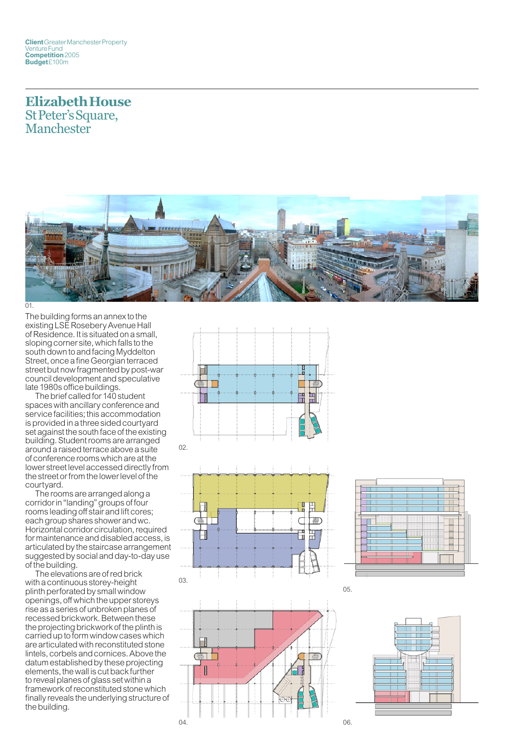## **Elizabeth House** St Peter's Square, Manchester



01.

The building forms an annex to the existing LSE Rosebery Avenue Hall of Residence. It is situated on a small, sloping corner site, which falls to the south down to and facing Myddelton Street, once a fine Georgian terraced street but now fragmented by post-war council development and speculative late 1980s office buildings.

The brief called for 140 student spaces with ancillary conference and service facilities; this accommodation is provided in a three sided courtyard set against the south face of the existing building. Student rooms are arranged around a raised terrace above a suite of conference rooms which are at the lower street level accessed directly from the street or from the lower level of the courtyard.

The rooms are arranged along a corridor in "landing" groups of four rooms leading off stair and lift cores; each group shares shower and wc. Horizontal corridor circulation, required for maintenance and disabled access, is articulated by the staircase arrangement suggested by social and day-to-day use of the building.

The elevations are of red brick with a continuous storey-height plinth perforated by small window openings, off which the upper storeys rise as a series of unbroken planes of recessed brickwork. Between these the projecting brickwork of the plinth is carried up to form window cases which are articulated with reconstituted stone lintels, corbels and cornices. Above the datum established by these projecting elements, the wall is cut back further to reveal planes of glass set within a framework of reconstituted stone which finally reveals the underlying structure of the building.